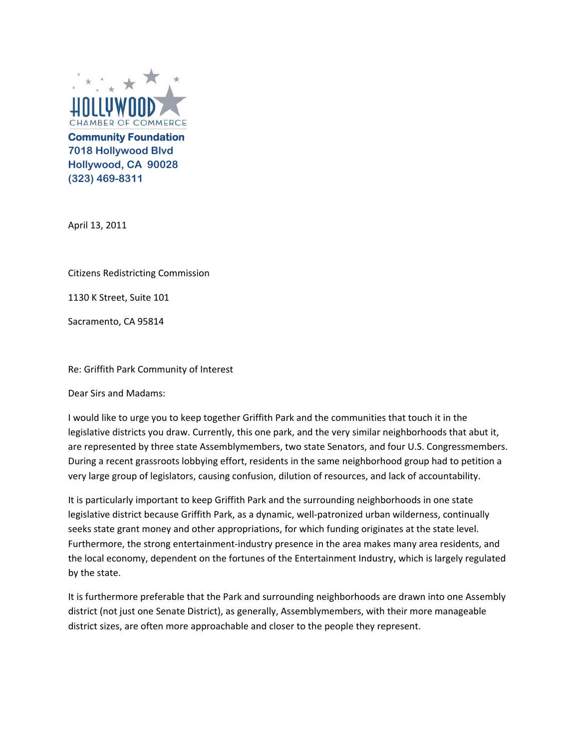

**Community Foundation 7018 Hollywood Blvd Hollywood, CA 90028 (323) 469-8311** 

April 13, 2011

Citizens Redistricting Commission

1130 K Street, Suite 101

Sacramento, CA 95814

Re: Griffith Park Community of Interest

Dear Sirs and Madams:

 I would like to urge you to keep together Griffith Park and the communities that touch it in the legislative districts you draw. Currently, this one park, and the very similar neighborhoods that abut it, are represented by three state Assemblymembers, two state Senators, and four U.S. Congressmembers. During a recent grassroots lobbying effort, residents in the same neighborhood group had to petition a very large group of legislators, causing confusion, dilution of resources, and lack of accountability.

 It is particularly important to keep Griffith Park and the surrounding neighborhoods in one state legislative district because Griffith Park, as a dynamic, well‐patronized urban wilderness, continually seeks state grant money and other appropriations, for which funding originates at the state level. Furthermore, the strong entertainment‐industry presence in the area makes many area residents, and the local economy, dependent on the fortunes of the Entertainment Industry, which is largely regulated by the state.

 It is furthermore preferable that the Park and surrounding neighborhoods are drawn into one Assembly district (not just one Senate District), as generally, Assemblymembers, with their more manageable district sizes, are often more approachable and closer to the people they represent.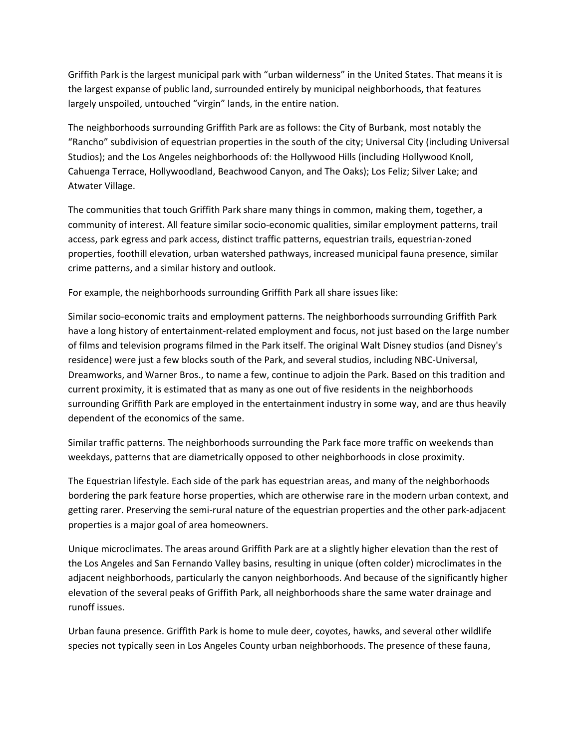Griffith Park is the largest municipal park with "urban wilderness" in the United States. That means it is the largest expanse of public land, surrounded entirely by municipal neighborhoods, that features largely unspoiled, untouched "virgin" lands, in the entire nation.

 The neighborhoods surrounding Griffith Park are as follows: the City of Burbank, most notably the "Rancho" subdivision of equestrian properties in the south of the city; Universal City (including Universal Studios); and the Los Angeles neighborhoods of: the Hollywood Hills (including Hollywood Knoll, Cahuenga Terrace, Hollywoodland, Beachwood Canyon, and The Oaks); Los Feliz; Silver Lake; and Atwater Village.

 The communities that touch Griffith Park share many things in common, making them, together, a community of interest. All feature similar socio‐economic qualities, similar employment patterns, trail access, park egress and park access, distinct traffic patterns, equestrian trails, equestrian‐zoned properties, foothill elevation, urban watershed pathways, increased municipal fauna presence, similar crime patterns, and a similar history and outlook.

For example, the neighborhoods surrounding Griffith Park all share issues like:

 Similar socio‐economic traits and employment patterns. The neighborhoods surrounding Griffith Park have a long history of entertainment‐related employment and focus, not just based on the large number of films and television programs filmed in the Park itself. The original Walt Disney studios (and Disney's residence) were just a few blocks south of the Park, and several studios, including NBC‐Universal, Dreamworks, and Warner Bros., to name a few, continue to adjoin the Park. Based on this tradition and current proximity, it is estimated that as many as one out of five residents in the neighborhoods surrounding Griffith Park are employed in the entertainment industry in some way, and are thus heavily dependent of the economics of the same.

 Similar traffic patterns. The neighborhoods surrounding the Park face more traffic on weekends than weekdays, patterns that are diametrically opposed to other neighborhoods in close proximity.

 The Equestrian lifestyle. Each side of the park has equestrian areas, and many of the neighborhoods bordering the park feature horse properties, which are otherwise rare in the modern urban context, and getting rarer. Preserving the semi‐rural nature of the equestrian properties and the other park‐adjacent properties is a major goal of area homeowners.

 Unique microclimates. The areas around Griffith Park are at a slightly higher elevation than the rest of the Los Angeles and San Fernando Valley basins, resulting in unique (often colder) microclimates in the adjacent neighborhoods, particularly the canyon neighborhoods. And because of the significantly higher elevation of the several peaks of Griffith Park, all neighborhoods share the same water drainage and runoff issues.

 Urban fauna presence. Griffith Park is home to mule deer, coyotes, hawks, and several other wildlife species not typically seen in Los Angeles County urban neighborhoods. The presence of these fauna,